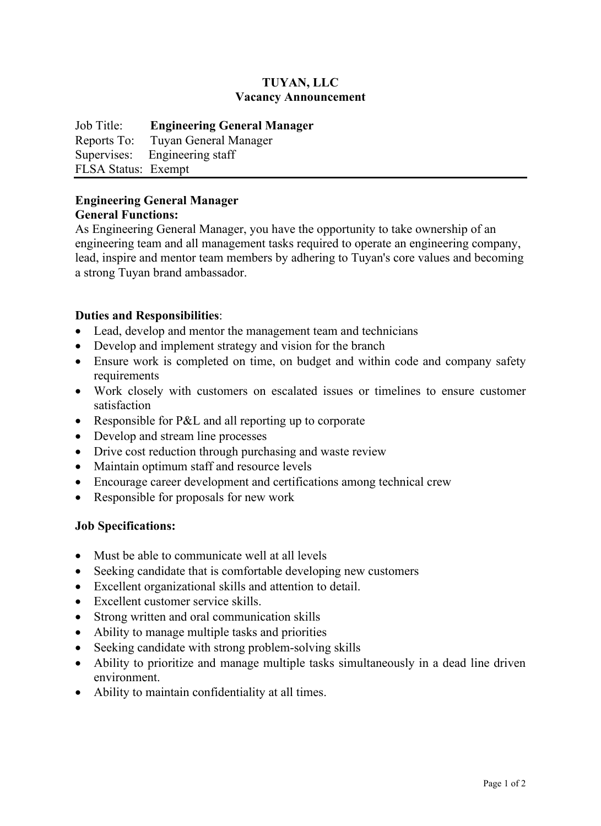# **TUYAN, LLC Vacancy Announcement**

Job Title: **Engineering General Manager** Reports To: Tuyan General Manager Supervises: Engineering staff FLSA Status: Exempt

#### **Engineering General Manager General Functions:**

As Engineering General Manager, you have the opportunity to take ownership of an engineering team and all management tasks required to operate an engineering company, lead, inspire and mentor team members by adhering to Tuyan's core values and becoming a strong Tuyan brand ambassador.

# **Duties and Responsibilities**:

- Lead, develop and mentor the management team and technicians
- Develop and implement strategy and vision for the branch
- Ensure work is completed on time, on budget and within code and company safety requirements
- Work closely with customers on escalated issues or timelines to ensure customer satisfaction
- Responsible for P&L and all reporting up to corporate
- Develop and stream line processes
- Drive cost reduction through purchasing and waste review
- Maintain optimum staff and resource levels
- Encourage career development and certifications among technical crew
- Responsible for proposals for new work

### **Job Specifications:**

- Must be able to communicate well at all levels
- Seeking candidate that is comfortable developing new customers
- Excellent organizational skills and attention to detail.
- Excellent customer service skills.
- Strong written and oral communication skills
- Ability to manage multiple tasks and priorities
- Seeking candidate with strong problem-solving skills
- Ability to prioritize and manage multiple tasks simultaneously in a dead line driven environment.
- Ability to maintain confidentiality at all times.